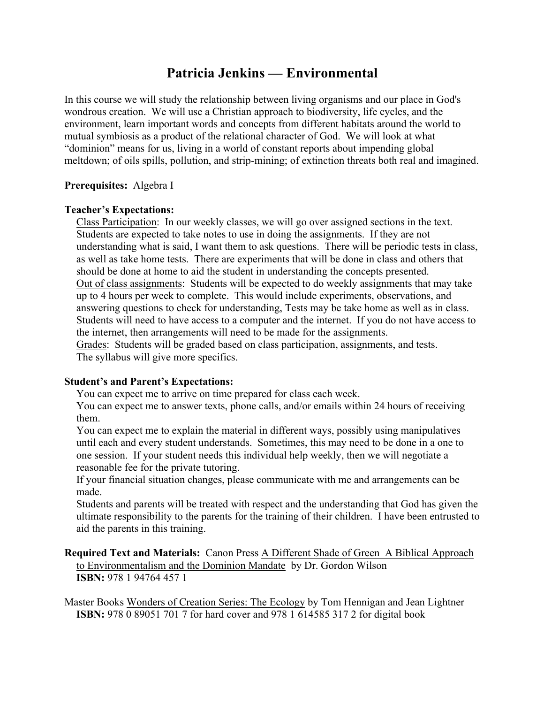# **Patricia Jenkins — Environmental**

In this course we will study the relationship between living organisms and our place in God's wondrous creation. We will use a Christian approach to biodiversity, life cycles, and the environment, learn important words and concepts from different habitats around the world to mutual symbiosis as a product of the relational character of God. We will look at what "dominion" means for us, living in a world of constant reports about impending global meltdown; of oils spills, pollution, and strip-mining; of extinction threats both real and imagined.

# **Prerequisites:** Algebra I

# **Teacher's Expectations:**

Class Participation: In our weekly classes, we will go over assigned sections in the text. Students are expected to take notes to use in doing the assignments. If they are not understanding what is said, I want them to ask questions. There will be periodic tests in class, as well as take home tests. There are experiments that will be done in class and others that should be done at home to aid the student in understanding the concepts presented. Out of class assignments: Students will be expected to do weekly assignments that may take up to 4 hours per week to complete. This would include experiments, observations, and answering questions to check for understanding, Tests may be take home as well as in class. Students will need to have access to a computer and the internet. If you do not have access to the internet, then arrangements will need to be made for the assignments. Grades: Students will be graded based on class participation, assignments, and tests.

The syllabus will give more specifics.

#### **Student's and Parent's Expectations:**

You can expect me to arrive on time prepared for class each week.

You can expect me to answer texts, phone calls, and/or emails within 24 hours of receiving them.

You can expect me to explain the material in different ways, possibly using manipulatives until each and every student understands. Sometimes, this may need to be done in a one to one session. If your student needs this individual help weekly, then we will negotiate a reasonable fee for the private tutoring.

If your financial situation changes, please communicate with me and arrangements can be made.

Students and parents will be treated with respect and the understanding that God has given the ultimate responsibility to the parents for the training of their children. I have been entrusted to aid the parents in this training.

### **Required Text and Materials:** Canon Press A Different Shade of Green A Biblical Approach to Environmentalism and the Dominion Mandate by Dr. Gordon Wilson **ISBN:** 978 1 94764 457 1

Master Books Wonders of Creation Series: The Ecology by Tom Hennigan and Jean Lightner **ISBN:** 978 0 89051 701 7 for hard cover and 978 1 614585 317 2 for digital book